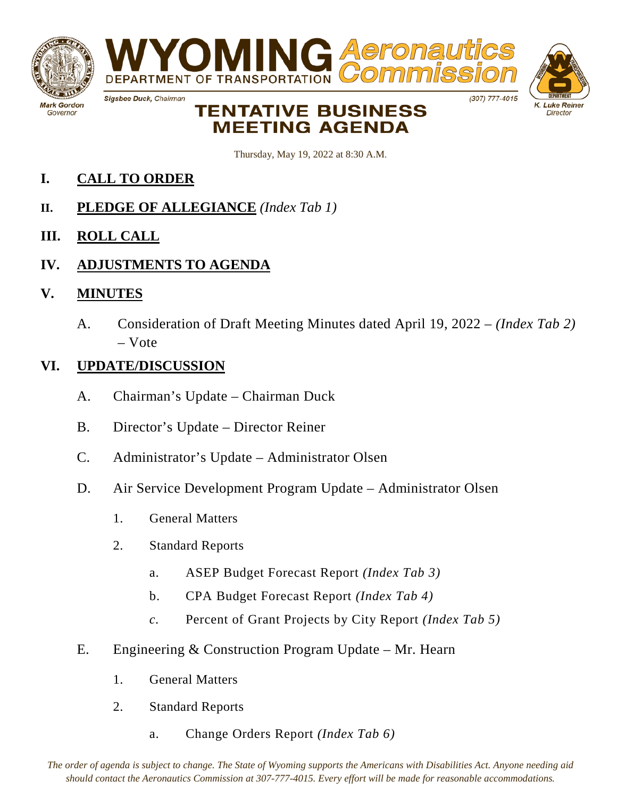



Sigsbee Duck, Chairman

# **TENTATIVE BUSINESS** MEETING AGENDA



(307) 777-4015

Thursday, May 19, 2022 at 8:30 A.M.

- **I. CALL TO ORDER**
- **II. PLEDGE OF ALLEGIANCE** *(Index Tab 1)*
- **III. ROLL CALL**
- **IV. ADJUSTMENTS TO AGENDA**
- **V. MINUTES**
	- A. Consideration of Draft Meeting Minutes dated April 19, 2022 *(Index Tab 2)* – Vote

## **VI. UPDATE/DISCUSSION**

- A. Chairman's Update Chairman Duck
- B. Director's Update Director Reiner
- C. Administrator's Update Administrator Olsen
- D. Air Service Development Program Update Administrator Olsen
	- 1. General Matters
	- 2. Standard Reports
		- a. ASEP Budget Forecast Report *(Index Tab 3)*
		- b. CPA Budget Forecast Report *(Index Tab 4)*
		- *c.* Percent of Grant Projects by City Report *(Index Tab 5)*
- E. Engineering & Construction Program Update Mr. Hearn
	- 1. General Matters
	- 2. Standard Reports
		- a. Change Orders Report *(Index Tab 6)*

*The order of agenda is subject to change. The State of Wyoming supports the Americans with Disabilities Act. Anyone needing aid should contact the Aeronautics Commission at 307-777-4015. Every effort will be made for reasonable accommodations.*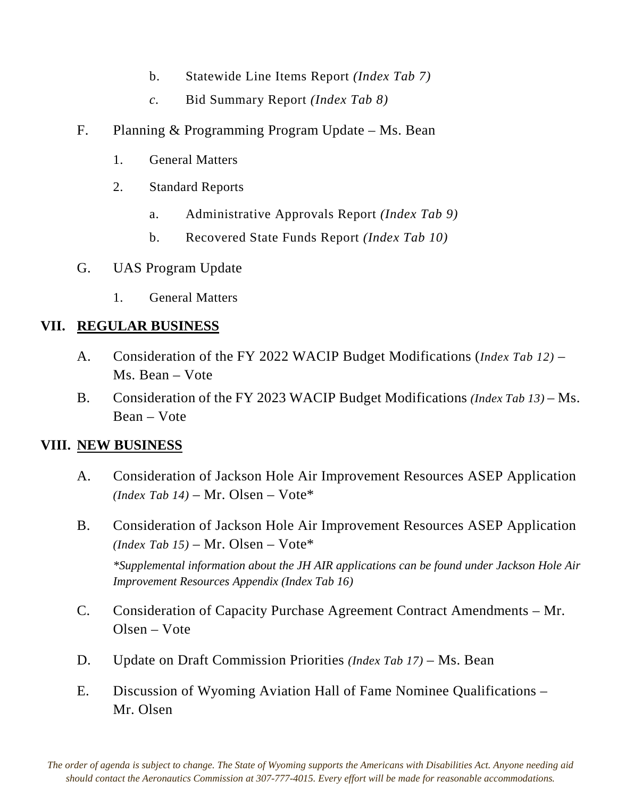- b. Statewide Line Items Report *(Index Tab 7)*
- *c.* Bid Summary Report *(Index Tab 8)*
- F. Planning & Programming Program Update Ms. Bean
	- 1. General Matters
	- 2. Standard Reports
		- a. Administrative Approvals Report *(Index Tab 9)*
		- b. Recovered State Funds Report *(Index Tab 10)*
- G. UAS Program Update
	- 1. General Matters

#### **VII. REGULAR BUSINESS**

- A. Consideration of the FY 2022 WACIP Budget Modifications (*Index Tab 12)* Ms. Bean – Vote
- B. Consideration of the FY 2023 WACIP Budget Modifications *(Index Tab 13)* Ms. Bean – Vote

#### **VIII. NEW BUSINESS**

- A. Consideration of Jackson Hole Air Improvement Resources ASEP Application *(Index Tab 14)* – Mr. Olsen – Vote\*
- B. Consideration of Jackson Hole Air Improvement Resources ASEP Application *(Index Tab 15)* – Mr. Olsen – Vote\* *\*Supplemental information about the JH AIR applications can be found under Jackson Hole Air Improvement Resources Appendix (Index Tab 16)*
- C. Consideration of Capacity Purchase Agreement Contract Amendments Mr. Olsen – Vote
- D. Update on Draft Commission Priorities *(Index Tab 17)* Ms. Bean
- E. Discussion of Wyoming Aviation Hall of Fame Nominee Qualifications Mr. Olsen

*The order of agenda is subject to change. The State of Wyoming supports the Americans with Disabilities Act. Anyone needing aid should contact the Aeronautics Commission at 307-777-4015. Every effort will be made for reasonable accommodations.*